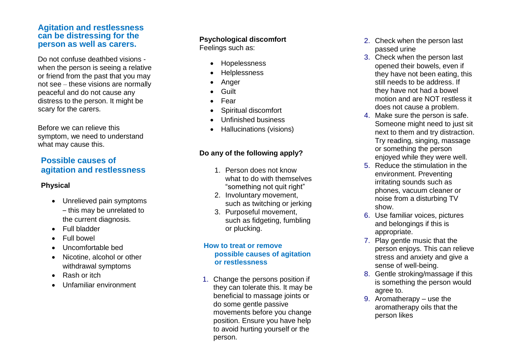## **Agitation and restlessness can be distressing for the person as well as carers.**

Do not confuse deathbed visions when the person is seeing a relative or friend from the past that you may not see – these visions are normally peaceful and do not cause any distress to the person. It might be scary for the carers.

Before we can relieve this symptom, we need to understand what may cause this.

# **Possible causes of agitation and restlessness**

## **Physical**

- Unrelieved pain symptoms – this may be unrelated to the current diagnosis.
- Full bladder
- Full bowel
- Uncomfortable bed
- Nicotine, alcohol or other withdrawal symptoms
- Rash or itch
- Unfamiliar environment

## **Psychological discomfort**

Feelings such as:

- Hopelessness
- Helplessness
- **Anger**
- Guilt
- Fear
- Spiritual discomfort
- Unfinished business
- Hallucinations (visions)

## **Do any of the following apply?**

- 1. Person does not know what to do with themselves "something not quit right"
- 2. Involuntary movement, such as twitching or jerking
- 3. Purposeful movement, such as fidgeting, fumbling or plucking.

#### **How to treat or remove possible causes of agitation or restlessness**

1. Change the persons position if they can tolerate this. It may be beneficial to massage joints or do some gentle passive movements before you change position. Ensure you have help to avoid hurting yourself or the person.

- 2. Check when the person last passed urine
- 3. Check when the person last opened their bowels, even if they have not been eating, this still needs to be address. If they have not had a bowel motion and are NOT restless it does not cause a problem.
- 4. Make sure the person is safe. Someone might need to just sit next to them and try distraction. Try reading, singing, massage or something the person enjoyed while they were well.
- 5. Reduce the stimulation in the environment. Preventing irritating sounds such as phones, vacuum cleaner or noise from a disturbing TV show.
- 6. Use familiar voices, pictures and belongings if this is appropriate.
- 7. Play gentle music that the person enjoys. This can relieve stress and anxiety and give a sense of well-being.
- 8. Gentle stroking/massage if this is something the person would agree to.
- 9. Aromatherapy use the aromatherapy oils that the person likes